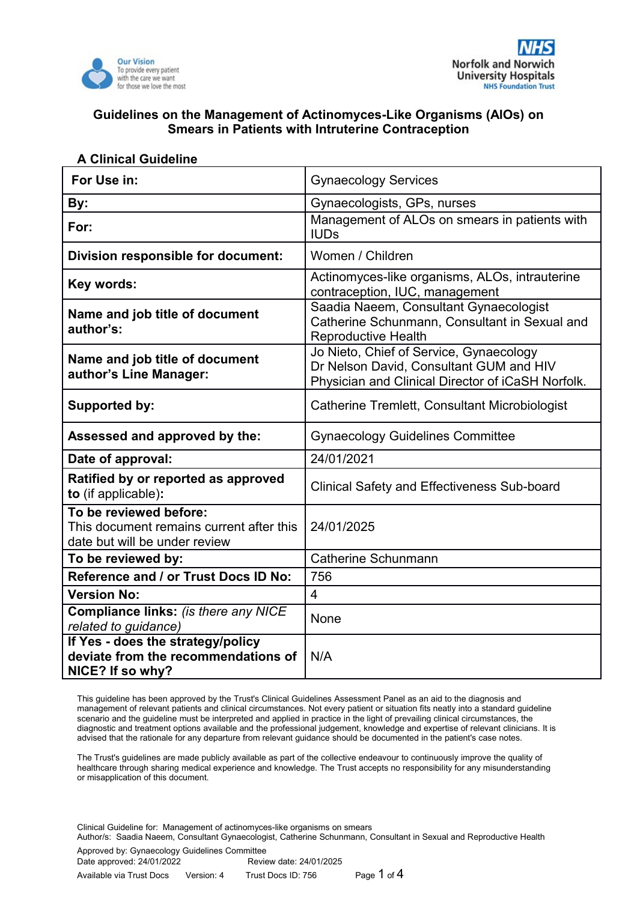



| For Use in:                                                                                         | <b>Gynaecology Services</b>                                                                                                             |  |
|-----------------------------------------------------------------------------------------------------|-----------------------------------------------------------------------------------------------------------------------------------------|--|
| By:                                                                                                 | Gynaecologists, GPs, nurses                                                                                                             |  |
| For:                                                                                                | Management of ALOs on smears in patients with<br><b>IUDs</b>                                                                            |  |
| Division responsible for document:                                                                  | Women / Children                                                                                                                        |  |
| Key words:                                                                                          | Actinomyces-like organisms, ALOs, intrauterine<br>contraception, IUC, management                                                        |  |
| Name and job title of document<br>author's:                                                         | Saadia Naeem, Consultant Gynaecologist<br>Catherine Schunmann, Consultant in Sexual and<br><b>Reproductive Health</b>                   |  |
| Name and job title of document<br>author's Line Manager:                                            | Jo Nieto, Chief of Service, Gynaecology<br>Dr Nelson David, Consultant GUM and HIV<br>Physician and Clinical Director of iCaSH Norfolk. |  |
| <b>Supported by:</b>                                                                                | <b>Catherine Tremlett, Consultant Microbiologist</b>                                                                                    |  |
| Assessed and approved by the:                                                                       | <b>Gynaecology Guidelines Committee</b>                                                                                                 |  |
| Date of approval:                                                                                   | 24/01/2021                                                                                                                              |  |
| Ratified by or reported as approved<br>to (if applicable):                                          | <b>Clinical Safety and Effectiveness Sub-board</b>                                                                                      |  |
| To be reviewed before:<br>This document remains current after this<br>date but will be under review | 24/01/2025                                                                                                                              |  |
| To be reviewed by:                                                                                  | Catherine Schunmann                                                                                                                     |  |
| Reference and / or Trust Docs ID No:                                                                | 756                                                                                                                                     |  |
| <b>Version No:</b>                                                                                  | 4                                                                                                                                       |  |
| <b>Compliance links: (is there any NICE</b><br>related to guidance)                                 | None                                                                                                                                    |  |
| If Yes - does the strategy/policy<br>deviate from the recommendations of<br>NICE? If so why?        | N/A                                                                                                                                     |  |

#### **A Clinical Guideline**

This guideline has been approved by the Trust's Clinical Guidelines Assessment Panel as an aid to the diagnosis and management of relevant patients and clinical circumstances. Not every patient or situation fits neatly into a standard guideline scenario and the guideline must be interpreted and applied in practice in the light of prevailing clinical circumstances, the diagnostic and treatment options available and the professional judgement, knowledge and expertise of relevant clinicians. It is advised that the rationale for any departure from relevant guidance should be documented in the patient's case notes.

The Trust's guidelines are made publicly available as part of the collective endeavour to continuously improve the quality of healthcare through sharing medical experience and knowledge. The Trust accepts no responsibility for any misunderstanding or misapplication of this document.

Clinical Guideline for: Management of actinomyces-like organisms on smears

Author/s: Saadia Naeem, Consultant Gynaecologist, Catherine Schunmann, Consultant in Sexual and Reproductive Health

| Approved by: Gynaecology Guidelines Committee |            |                         |             |
|-----------------------------------------------|------------|-------------------------|-------------|
| Date approved: 24/01/2022                     |            | Review date: 24/01/2025 |             |
| Available via Trust Docs                      | Version: 4 | Trust Docs ID: 756      | Page 1 of 4 |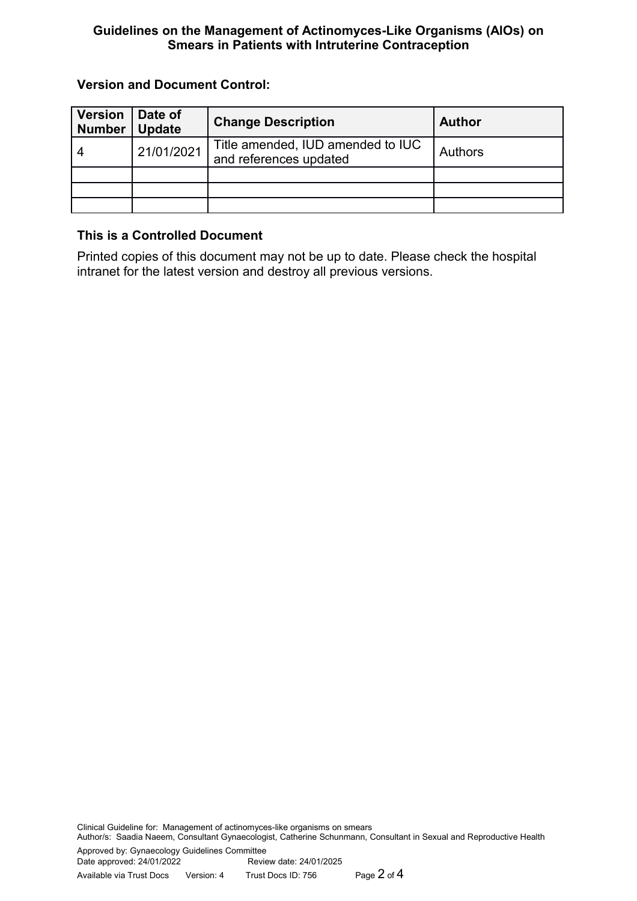## **Version and Document Control:**

| <b>Version</b><br><b>Number</b> | Date of<br><b>Update</b> | <b>Change Description</b>                                   | <b>Author</b>  |
|---------------------------------|--------------------------|-------------------------------------------------------------|----------------|
|                                 | 21/01/2021               | Title amended, IUD amended to IUC<br>and references updated | <b>Authors</b> |
|                                 |                          |                                                             |                |
|                                 |                          |                                                             |                |
|                                 |                          |                                                             |                |

## **This is a Controlled Document**

Printed copies of this document may not be up to date. Please check the hospital intranet for the latest version and destroy all previous versions.

Clinical Guideline for: Management of actinomyces-like organisms on smears Author/s: Saadia Naeem, Consultant Gynaecologist, Catherine Schunmann, Consultant in Sexual and Reproductive Health Approved by: Gynaecology Guidelines Committee Review date: 24/01/2025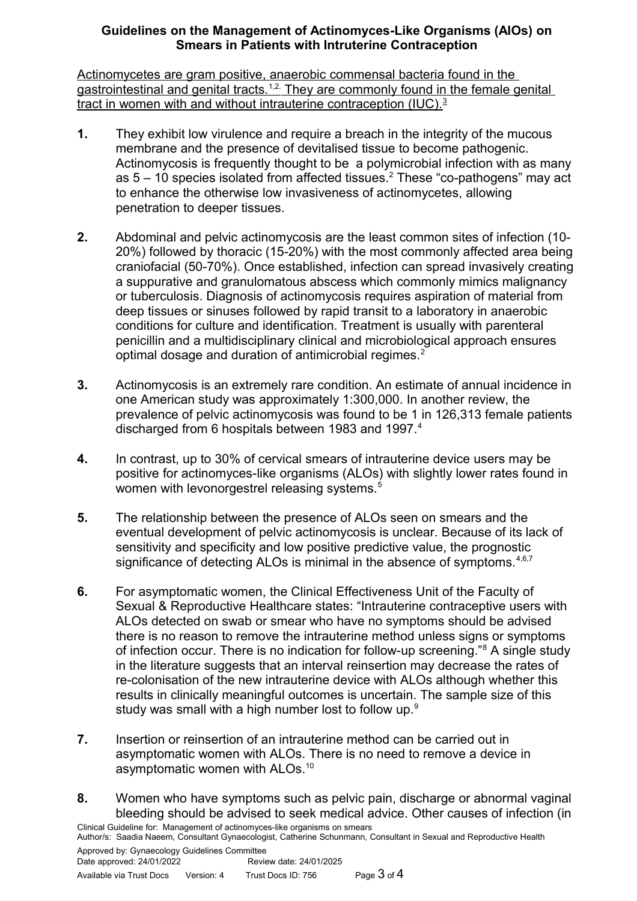Actinomycetes are gram positive, anaerobic commensal bacteria found in the gastrointestinal and genital tracts.<sup>1,2.</sup> They are commonly found in the female genital tract in women with and without intrauterine contraception (IUC).<sup>3</sup>

- **1.** They exhibit low virulence and require a breach in the integrity of the mucous membrane and the presence of devitalised tissue to become pathogenic. Actinomycosis is frequently thought to be a polymicrobial infection with as many as  $5 - 10$  species isolated from affected tissues.<sup>2</sup> These "co-pathogens" may act to enhance the otherwise low invasiveness of actinomycetes, allowing penetration to deeper tissues.
- **2.** Abdominal and pelvic actinomycosis are the least common sites of infection (10- 20%) followed by thoracic (15-20%) with the most commonly affected area being craniofacial (50-70%). Once established, infection can spread invasively creating a suppurative and granulomatous abscess which commonly mimics malignancy or tuberculosis. Diagnosis of actinomycosis requires aspiration of material from deep tissues or sinuses followed by rapid transit to a laboratory in anaerobic conditions for culture and identification. Treatment is usually with parenteral penicillin and a multidisciplinary clinical and microbiological approach ensures optimal dosage and duration of antimicrobial regimes.<sup>2</sup>
- **3.** Actinomycosis is an extremely rare condition. An estimate of annual incidence in one American study was approximately 1:300,000. In another review, the prevalence of pelvic actinomycosis was found to be 1 in 126,313 female patients discharged from 6 hospitals between 1983 and 1997.<sup>4</sup>
- **4.** In contrast, up to 30% of cervical smears of intrauterine device users may be positive for actinomyces-like organisms (ALOs) with slightly lower rates found in women with levonorgestrel releasing systems.<sup>5</sup>
- **5.** The relationship between the presence of ALOs seen on smears and the eventual development of pelvic actinomycosis is unclear. Because of its lack of sensitivity and specificity and low positive predictive value, the prognostic significance of detecting ALOs is minimal in the absence of symptoms.<sup>4,6,7</sup>
- **6.** For asymptomatic women, the Clinical Effectiveness Unit of the Faculty of Sexual & Reproductive Healthcare states: "Intrauterine contraceptive users with ALOs detected on swab or smear who have no symptoms should be advised there is no reason to remove the intrauterine method unless signs or symptoms of infection occur. There is no indication for follow-up screening."<sup>8</sup> A single study in the literature suggests that an interval reinsertion may decrease the rates of re-colonisation of the new intrauterine device with ALOs although whether this results in clinically meaningful outcomes is uncertain. The sample size of this study was small with a high number lost to follow up.<sup>9</sup>
- **7.** Insertion or reinsertion of an intrauterine method can be carried out in asymptomatic women with ALOs. There is no need to remove a device in asymptomatic women with ALOs.<sup>10</sup>
- **8.** Women who have symptoms such as pelvic pain, discharge or abnormal vaginal bleeding should be advised to seek medical advice. Other causes of infection (in Clinical Guideline for: Management of actinomyces-like organisms on smears

Author/s: Saadia Naeem, Consultant Gynaecologist, Catherine Schunmann, Consultant in Sexual and Reproductive Health